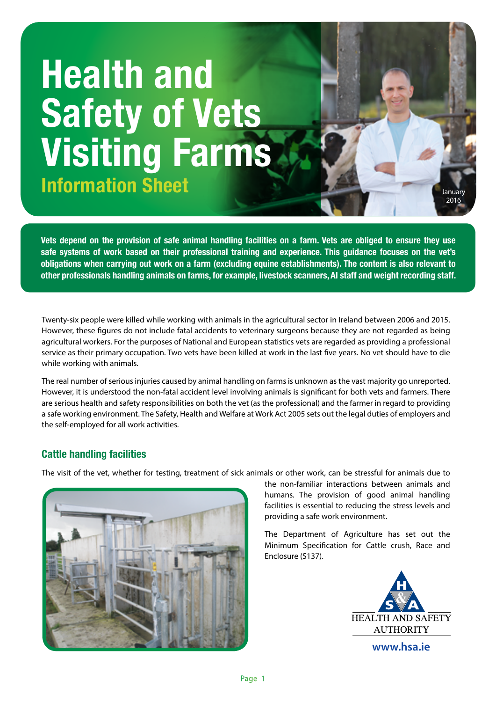# **Health and Safety of Vets Visiting Farms Information Sheet January 1988 and 1998 and 1999 and 1999 and 1999 and 1999 and 1999 and 1999 and 1999 and 1999 and 1999 and 1999 and 1999 and 1999 and 1999 and 1999 and 1999 and 1999 and 1999 and 1999 and 1999 and 1999 a**

**Vets depend on the provision of safe animal handling facilities on a farm. Vets are obliged to ensure they use safe systems of work based on their professional training and experience. This guidance focuses on the vet's obligations when carrying out work on a farm (excluding equine establishments). The content is also relevant to other professionals handling animals on farms, for example, livestock scanners, AI staff and weight recording staff.**

Twenty-six people were killed while working with animals in the agricultural sector in Ireland between 2006 and 2015. However, these figures do not include fatal accidents to veterinary surgeons because they are not regarded as being agricultural workers. For the purposes of National and European statistics vets are regarded as providing a professional service as their primary occupation. Two vets have been killed at work in the last five years. No vet should have to die while working with animals.

The real number of serious injuries caused by animal handling on farms is unknown as the vast majority go unreported. However, it is understood the non-fatal accident level involving animals is significant for both vets and farmers. There are serious health and safety responsibilities on both the vet (as the professional) and the farmer in regard to providing a safe working environment. The Safety, Health and Welfare at Work Act 2005 sets out the legal duties of employers and the self-employed for all work activities.

# **Cattle handling facilities**

The visit of the vet, whether for testing, treatment of sick animals or other work, can be stressful for animals due to



the non-familiar interactions between animals and humans. The provision of good animal handling facilities is essential to reducing the stress levels and providing a safe work environment.

The Department of Agriculture has set out the Minimum Specification for Cattle crush, Race and Enclosure (S137).



**Jan 2016**

2016

**www.hsa.ie**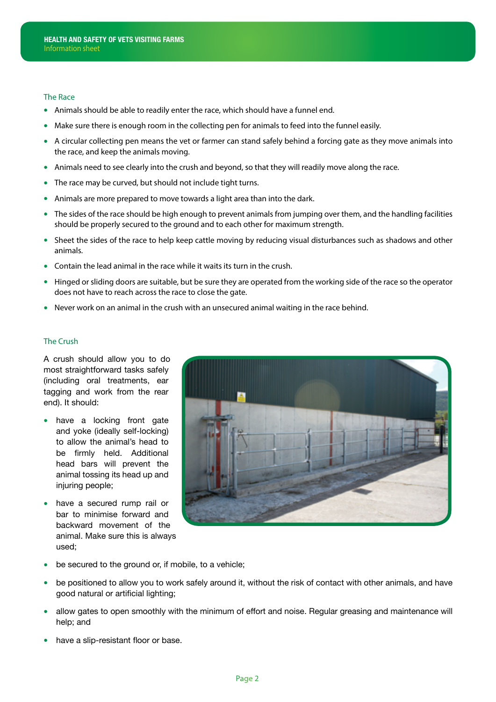#### The Race

- Animals should be able to readily enter the race, which should have a funnel end.
- Make sure there is enough room in the collecting pen for animals to feed into the funnel easily.
- A circular collecting pen means the vet or farmer can stand safely behind a forcing gate as they move animals into the race, and keep the animals moving.
- Animals need to see clearly into the crush and beyond, so that they will readily move along the race.
- The race may be curved, but should not include tight turns.
- Animals are more prepared to move towards a light area than into the dark.
- The sides of the race should be high enough to prevent animals from jumping over them, and the handling facilities should be properly secured to the ground and to each other for maximum strength.
- Sheet the sides of the race to help keep cattle moving by reducing visual disturbances such as shadows and other animals.
- Contain the lead animal in the race while it waits its turn in the crush.
- Hinged or sliding doors are suitable, but be sure they are operated from the working side of the race so the operator does not have to reach across the race to close the gate.
- Never work on an animal in the crush with an unsecured animal waiting in the race behind.

### The Crush

A crush should allow you to do most straightforward tasks safely (including oral treatments, ear tagging and work from the rear end). It should:

- have a locking front gate and yoke (ideally self-locking) to allow the animal's head to be firmly held. Additional head bars will prevent the animal tossing its head up and injuring people;
- have a secured rump rail or bar to minimise forward and backward movement of the animal. Make sure this is always used;



- be secured to the ground or, if mobile, to a vehicle;
- be positioned to allow you to work safely around it, without the risk of contact with other animals, and have good natural or artificial lighting;
- allow gates to open smoothly with the minimum of effort and noise. Regular greasing and maintenance will help; and
- have a slip-resistant floor or base.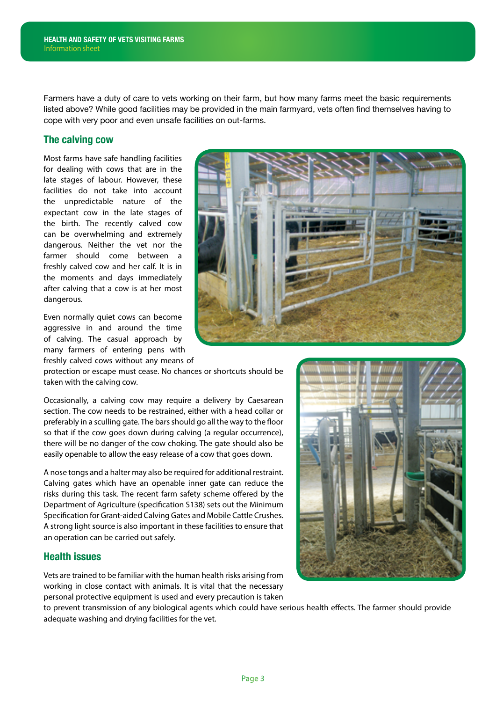Farmers have a duty of care to vets working on their farm, but how many farms meet the basic requirements listed above? While good facilities may be provided in the main farmyard, vets often find themselves having to cope with very poor and even unsafe facilities on out-farms.

## **The calving cow**

Most farms have safe handling facilities for dealing with cows that are in the late stages of labour. However, these facilities do not take into account the unpredictable nature of the expectant cow in the late stages of the birth. The recently calved cow can be overwhelming and extremely dangerous. Neither the vet nor the farmer should come between a freshly calved cow and her calf. It is in the moments and days immediately after calving that a cow is at her most dangerous.

Even normally quiet cows can become aggressive in and around the time of calving. The casual approach by many farmers of entering pens with freshly calved cows without any means of



protection or escape must cease. No chances or shortcuts should be taken with the calving cow.

Occasionally, a calving cow may require a delivery by Caesarean section. The cow needs to be restrained, either with a head collar or preferably in a sculling gate. The bars should go all the way to the floor so that if the cow goes down during calving (a regular occurrence), there will be no danger of the cow choking. The gate should also be easily openable to allow the easy release of a cow that goes down.

A nose tongs and a halter may also be required for additional restraint. Calving gates which have an openable inner gate can reduce the risks during this task. The recent farm safety scheme offered by the Department of Agriculture (specification S138) sets out the Minimum Specification for Grant-aided Calving Gates and Mobile Cattle Crushes. A strong light source is also important in these facilities to ensure that an operation can be carried out safely.

## **Health issues**

Vets are trained to be familiar with the human health risks arising from working in close contact with animals. It is vital that the necessary personal protective equipment is used and every precaution is taken

to prevent transmission of any biological agents which could have serious health effects. The farmer should provide adequate washing and drying facilities for the vet.